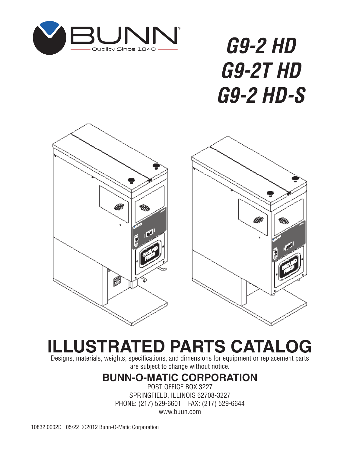

# *G9-2 HD G9-2T HD G9-2 HD-S*



# **ILLUSTRATED PARTS CATALOG**

Designs, materials, weights, specifications, and dimensions for equipment or replacement parts are subject to change without notice.

# **BUNN-O-MATIC CORPORATION**

POST OFFICE BOX 3227 SPRINGFIELD, ILLINOIS 62708-3227 PHONE: (217) 529-6601 FAX: (217) 529-6644 www.buun.com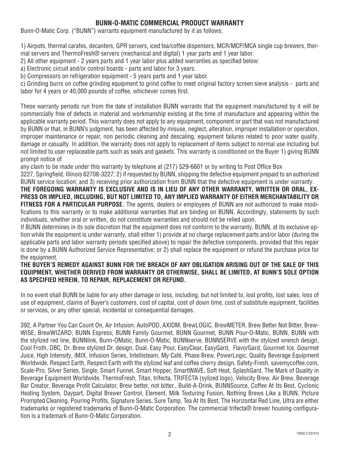#### **BUNN-O-MATIC COMMERCIAL PRODUCT WARRANTY**

Bunn-O-Matic Corp. ("BUNN") warrants equipment manufactured by it as follows:

1) Airpots, thermal carafes, decanters, GPR servers, iced tea/coffee dispensers, MCR/MCP/MCA single cup brewers, thermal servers and ThermoFresh® servers (mechanical and digital) 1 year parts and 1 year labor.

2) All other equipment - 2 years parts and 1 year labor plus added warranties as specified below:

a) Electronic circuit and/or control boards - parts and labor for 3 years.

b) Compressors on refrigeration equipment - 5 years parts and 1 year labor.

c) Grinding burrs on coffee grinding equipment to grind coffee to meet original factory screen sieve analysis - parts and labor for 4 years or 40,000 pounds of coffee, whichever comes first.

These warranty periods run from the date of installation BUNN warrants that the equipment manufactured by it will be commercially free of defects in material and workmanship existing at the time of manufacture and appearing within the applicable warranty period. This warranty does not apply to any equipment, component or part that was not manufactured by BUNN or that, in BUNN's judgment, has been affected by misuse, neglect, alteration, improper installation or operation, improper maintenance or repair, non periodic cleaning and descaling, equipment failures related to poor water quality, damage or casualty. In addition, the warranty does not apply to replacement of items subject to normal use including but not limited to user replaceable parts such as seals and gaskets. This warranty is conditioned on the Buyer 1) giving BUNN prompt notice of

any claim to be made under this warranty by telephone at (217) 529-6601 or by writing to Post Office Box

3227, Springfield, Illinois 62708-3227; 2) if requested by BUNN, shipping the defective equipment prepaid to an authorized BUNN service location; and 3) receiving prior authorization from BUNN that the defective equipment is under warranty.

**THE FOREGOING WARRANTY IS EXCLUSIVE AND IS IN LIEU OF ANY OTHER WARRANTY, WRITTEN OR ORAL, EX-PRESS OR IMPLIED, INCLUDING, BUT NOT LIMITED TO, ANY IMPLIED WARRANTY OF EITHER MERCHANTABILITY OR FITNESS FOR A PARTICULAR PURPOSE.** The agents, dealers or employees of BUNN are not authorized to make modifications to this warranty or to make additional warranties that are binding on BUNN. Accordingly, statements by such individuals, whether oral or written, do not constitute warranties and should not be relied upon.

If BUNN determines in its sole discretion that the equipment does not conform to the warranty, BUNN, at its exclusive option while the equipment is under warranty, shall either 1) provide at no charge replacement parts and/or labor (during the applicable parts and labor warranty periods specified above) to repair the defective components, provided that this repair is done by a BUNN Authorized Service Representative; or 2) shall replace the equipment or refund the purchase price for the equipment.

#### **THE BUYER'S REMEDY AGAINST BUNN FOR THE BREACH OF ANY OBLIGATION ARISING OUT OF THE SALE OF THIS EQUIPMENT, WHETHER DERIVED FROM WARRANTY OR OTHERWISE, SHALL BE LIMITED, AT BUNN'S SOLE OPTION AS SPECIFIED HEREIN, TO REPAIR, REPLACEMENT OR REFUND.**

In no event shall BUNN be liable for any other damage or loss, including, but not limited to, lost profits, lost sales, loss of use of equipment, claims of Buyer's customers, cost of capital, cost of down time, cost of substitute equipment, facilities or services, or any other special, incidental or consequential damages.

392, A Partner You Can Count On, Air Infusion, AutoPOD, AXIOM, BrewLOGIC, BrewMETER, Brew Better Not Bitter, Brew-WISE, BrewWIZARD, BUNN Espress, BUNN Family Gourmet, BUNN Gourmet, BUNN Pour-O-Matic, BUNN, BUNN with the stylized red line, BUNNlink, Bunn-OMatic, Bunn-O-Matic, BUNNserve, BUNNSERVE with the stylized wrench design, Cool Froth, DBC, Dr. Brew stylized Dr. design, Dual, Easy Pour, EasyClear, EasyGard, FlavorGard, Gourmet Ice, Gourmet Juice, High Intensity, iMIX, Infusion Series, Intellisteam, My Café, Phase Brew, PowerLogic, Quality Beverage Equipment Worldwide, Respect Earth, Respect Earth with the stylized leaf and coffee cherry design, Safety-Fresh, savemycoffee.com, Scale-Pro, Silver Series, Single, Smart Funnel, Smart Hopper, SmartWAVE, Soft Heat, SplashGard, The Mark of Quality in Beverage Equipment Worldwide, ThermoFresh, Titan, trifecta, TRIFECTA (sylized logo), Velocity Brew, Air Brew, Beverage Bar Creator, Beverage Profit Calculator, Brew better, not bitter., Build-A-Drink, BUNNSource, Coffee At Its Best, Cyclonic Heating System, Daypart, Digital Brewer Control, Element, Milk Texturing Fusion, Nothing Brews Like a BUNN, Picture Prompted Cleaning, Pouring Profits, Signature Series, Sure Tamp, Tea At Its Best, The Horizontal Red Line, Ultra are either trademarks or registered trademarks of Bunn-O-Matic Corporation. The commercial trifecta® brewer housing configuration is a trademark of Bunn-O-Matic Corporation.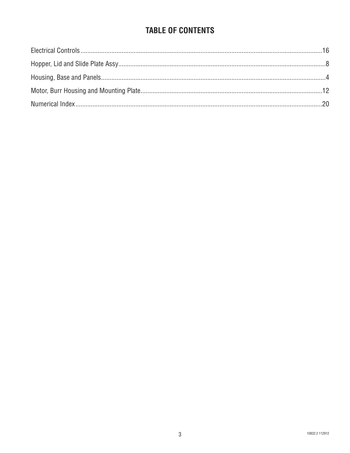## **TABLE OF CONTENTS**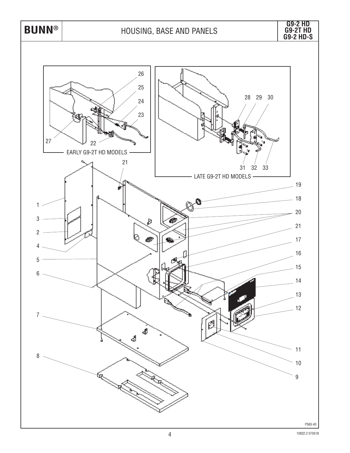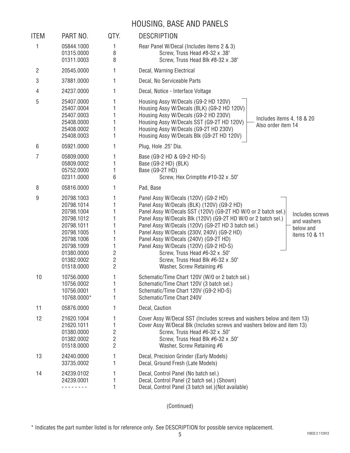### HOUSING, BASE AND PANELS

| <b>ITEM</b> | PART NO.                                                                                                                                               | QTY.                  | <b>DESCRIPTION</b>                                                                                                                                                                                                                                                                                                                                                                                                                                                                                                                                                                |
|-------------|--------------------------------------------------------------------------------------------------------------------------------------------------------|-----------------------|-----------------------------------------------------------------------------------------------------------------------------------------------------------------------------------------------------------------------------------------------------------------------------------------------------------------------------------------------------------------------------------------------------------------------------------------------------------------------------------------------------------------------------------------------------------------------------------|
| 1           | 05844.1000<br>01315.0000<br>01311.0003                                                                                                                 | 1<br>8<br>8           | Rear Panel W/Decal (Includes items 2 & 3)<br>Screw, Truss Head #8-32 x .38"<br>Screw, Truss Head Blk #8-32 x .38"                                                                                                                                                                                                                                                                                                                                                                                                                                                                 |
| 2           | 20545.0000                                                                                                                                             | 1                     | Decal, Warning Electrical                                                                                                                                                                                                                                                                                                                                                                                                                                                                                                                                                         |
| 3           | 37881.0000                                                                                                                                             | 1                     | Decal, No Serviceable Parts                                                                                                                                                                                                                                                                                                                                                                                                                                                                                                                                                       |
| 4           | 24237.0000                                                                                                                                             |                       | Decal, Notice - Interface Voltage                                                                                                                                                                                                                                                                                                                                                                                                                                                                                                                                                 |
| 5           | 25407.0000<br>25407.0004<br>25407.0003<br>25408.0000<br>25408.0002<br>25408.0003                                                                       | 1                     | Housing Assy W/Decals (G9-2 HD 120V)<br>Housing Assy W/Decals (BLK) (G9-2 HD 120V)<br>Housing Assy W/Decals (G9-2 HD 230V)<br>Includes items 4, 18 & 20<br>Housing Assy W/Decals SST (G9-2T HD 120V)<br>Also order item 14<br>Housing Assy W/Decals (G9-2T HD 230V)<br>Housing Assy W/Decals Blk (G9-2T HD 120V)                                                                                                                                                                                                                                                                  |
| 6           | 05921.0000                                                                                                                                             | 1                     | Plug, Hole .25" Dia.                                                                                                                                                                                                                                                                                                                                                                                                                                                                                                                                                              |
| 7           | 05809.0000<br>05809.0002<br>05752.0000<br>02311.0000                                                                                                   | 1<br>6                | Base (G9-2 HD & G9-2 HD-S)<br>Base (G9-2 HD) (BLK)<br>Base (G9-2T HD)<br>Screw, Hex Crimptite #10-32 x .50"                                                                                                                                                                                                                                                                                                                                                                                                                                                                       |
| 8           | 05816.0000                                                                                                                                             |                       | Pad, Base                                                                                                                                                                                                                                                                                                                                                                                                                                                                                                                                                                         |
| 9           | 20798.1003<br>20798.1014<br>20798.1004<br>20798.1012<br>20798.1011<br>20798.1005<br>20798.1006<br>20798.1009<br>01380.0000<br>01382.0002<br>01518.0000 | 2<br>2<br>2           | Panel Assy W/Decals (120V) (G9-2 HD)<br>Panel Assy W/Decals (BLK) (120V) (G9-2 HD)<br>Panel Assy W/Decals SST (120V) (G9-2T HD W/0 or 2 batch sel.)<br>Includes screws<br>Panel Assy W/Decals Blk (120V) (G9-2T HD W/0 or 2 batch sel.)<br>and washers<br>Panel Assy W/Decals (120V) (G9-2T HD 3 batch sel.)<br>below and<br>Panel Assy W/Decals (230V, 240V) (G9-2 HD)<br>items 10 & 11<br>Panel Assy W/Decals (240V) (G9-2T HD)<br>Panel Assy W/Decals (120V) (G9-2 HD-S)<br>Screw, Truss Head #6-32 x .50"<br>Screw, Truss Head Blk #6-32 x .50"<br>Washer, Screw Retaining #6 |
| 10          | 10756.0000<br>10756.0002<br>10756.0001<br>10768.0000*                                                                                                  | 1<br>ı<br>1           | Schematic/Time Chart 120V (W/0 or 2 batch sel.)<br>Schematic/Time Chart 120V (3 batch sel.)<br>Schematic/Time Chart 120V (G9-2 HD-S)<br>Schematic/Time Chart 240V                                                                                                                                                                                                                                                                                                                                                                                                                 |
| 11          | 05876.0000                                                                                                                                             | 1                     | Decal, Caution                                                                                                                                                                                                                                                                                                                                                                                                                                                                                                                                                                    |
| 12          | 21620.1004<br>21620.1011<br>01380.0000<br>01382.0002<br>01518.0000                                                                                     | 1<br>1<br>2<br>2<br>2 | Cover Assy W/Decal SST (Includes screws and washers below and item 13)<br>Cover Assy W/Decal Blk (Includes screws and washers below and item 13)<br>Screw, Truss Head #6-32 x .50"<br>Screw, Truss Head Blk #6-32 x .50"<br>Washer, Screw Retaining #6                                                                                                                                                                                                                                                                                                                            |
| 13          | 24240.0000<br>33735.0002                                                                                                                               | 1<br>1                | Decal, Precision Grinder (Early Models)<br>Decal, Ground Fresh (Late Models)                                                                                                                                                                                                                                                                                                                                                                                                                                                                                                      |
| 14          | 24239.0102<br>24239.0001<br>.                                                                                                                          |                       | Decal, Control Panel (No batch sel.)<br>Decal, Control Panel (2 batch sel.) (Shown)<br>Decal, Control Panel (3 batch sel.) (Not available)                                                                                                                                                                                                                                                                                                                                                                                                                                        |

(Continued)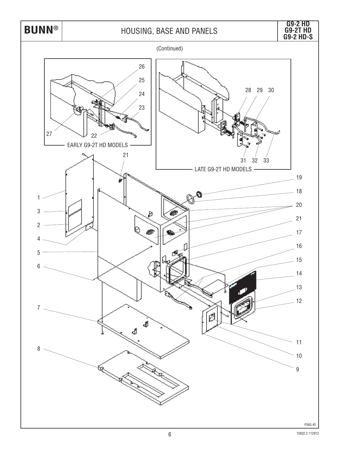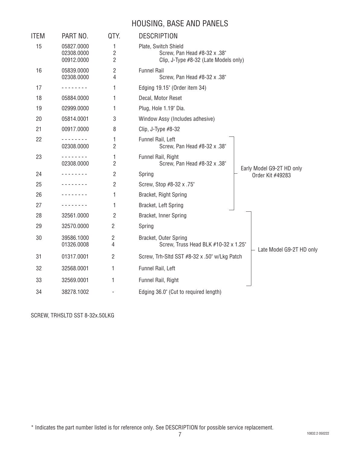#### HOUSING, BASE AND PANELS

| ITEM | PART NO.                                                                                                                                                                                                   | QTY.                | <b>DESCRIPTION</b>                                                                            |                                               |  |  |
|------|------------------------------------------------------------------------------------------------------------------------------------------------------------------------------------------------------------|---------------------|-----------------------------------------------------------------------------------------------|-----------------------------------------------|--|--|
| 15   | 05827.0000<br>02308.0000<br>00912.0000                                                                                                                                                                     | 1<br>2<br>2         | Plate, Switch Shield<br>Screw, Pan Head #8-32 x .38"<br>Clip, J-Type #8-32 (Late Models only) |                                               |  |  |
| 16   | 05839.0000<br>02308.0000                                                                                                                                                                                   | 2<br>4              | <b>Funnel Rail</b><br>Screw, Pan Head #8-32 x .38"                                            |                                               |  |  |
| 17   | $\frac{1}{2} \left( \frac{1}{2} \right) \left( \frac{1}{2} \right) \left( \frac{1}{2} \right) \left( \frac{1}{2} \right) \left( \frac{1}{2} \right) \left( \frac{1}{2} \right) \left( \frac{1}{2} \right)$ | 1                   | Edging 19.15" (Order item 34)                                                                 |                                               |  |  |
| 18   | 05884.0000                                                                                                                                                                                                 | 1                   | Decal, Motor Reset                                                                            |                                               |  |  |
| 19   | 02999.0000                                                                                                                                                                                                 | 1                   | Plug, Hole 1.19" Dia.                                                                         |                                               |  |  |
| 20   | 05814.0001                                                                                                                                                                                                 | 3                   | Window Assy (Includes adhesive)                                                               |                                               |  |  |
| 21   | 00917.0000                                                                                                                                                                                                 | 8                   | Clip, J-Type $#8-32$                                                                          |                                               |  |  |
| 22   | 02308.0000                                                                                                                                                                                                 | 1<br>$\overline{2}$ | Funnel Rail, Left<br>Screw, Pan Head #8-32 x .38"                                             |                                               |  |  |
| 23   | 02308.0000                                                                                                                                                                                                 | 1<br>2              | Funnel Rail, Right<br>Screw, Pan Head #8-32 x .38"                                            |                                               |  |  |
| 24   |                                                                                                                                                                                                            | 2                   | Spring                                                                                        | Early Model G9-2T HD only<br>Order Kit #49283 |  |  |
| 25   |                                                                                                                                                                                                            | 2                   | Screw, Stop #8-32 x .75"                                                                      |                                               |  |  |
| 26   |                                                                                                                                                                                                            | 1                   | Bracket, Right Spring                                                                         |                                               |  |  |
| 27   | .                                                                                                                                                                                                          | 1                   | Bracket, Left Spring                                                                          |                                               |  |  |
| 28   | 32561.0000                                                                                                                                                                                                 | 2                   | Bracket, Inner Spring                                                                         |                                               |  |  |
| 29   | 32570.0000                                                                                                                                                                                                 | 2                   | Spring                                                                                        |                                               |  |  |
| 30   | 39586.1000<br>01326.0008                                                                                                                                                                                   | 2<br>4              | Bracket, Outer Spring<br>Screw, Truss Head BLK #10-32 x 1.25"                                 | Late Model G9-2T HD only                      |  |  |
| 31   | 01317.0001                                                                                                                                                                                                 | 2                   | Screw, Trh-Sitd SST #8-32 x .50" w/Lkg Patch                                                  |                                               |  |  |
| 32   | 32568.0001                                                                                                                                                                                                 | 1                   | Funnel Rail, Left                                                                             |                                               |  |  |
| 33   | 32569.0001                                                                                                                                                                                                 | 1                   | Funnel Rail, Right                                                                            |                                               |  |  |
| 34   | 38278.1002                                                                                                                                                                                                 |                     | Edging 36.0" (Cut to required length)                                                         |                                               |  |  |

SCREW, TRHSLTD SST 8-32x.50LKG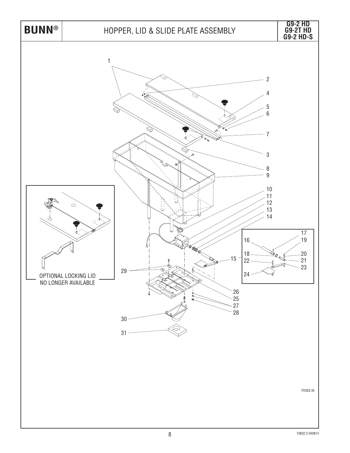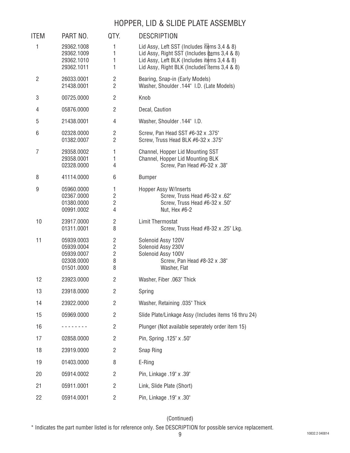#### HOPPER, LID & SLIDE PLATE ASSEMBLY

| <b>ITEM</b>    | PART NO.                                                           | QTY.                                            | <b>DESCRIPTION</b>                                                                                                                                                                         |
|----------------|--------------------------------------------------------------------|-------------------------------------------------|--------------------------------------------------------------------------------------------------------------------------------------------------------------------------------------------|
| 1              | 29362.1008<br>29362.1009<br>29362.1010<br>29362.1011               | 1<br>1<br>1<br>1                                | Lid Assy, Left SST (Includes items 3,4 & 8)<br>Lid Assy, Right SST (Includes items 3,4 & 8)<br>Lid Assy, Left BLK (Includes items 3,4 & 8)<br>Lid Assy, Right BLK (Includes items 3,4 & 8) |
| $\overline{2}$ | 26033.0001<br>21438.0001                                           | 2<br>$\overline{2}$                             | Bearing, Snap-in (Early Models)<br>Washer, Shoulder .144" I.D. (Late Models)                                                                                                               |
| 3              | 00725.0000                                                         | $\overline{c}$                                  | Knob                                                                                                                                                                                       |
| 4              | 05876.0000                                                         | $\overline{2}$                                  | Decal, Caution                                                                                                                                                                             |
| 5              | 21438.0001                                                         | 4                                               | Washer, Shoulder .144" I.D.                                                                                                                                                                |
| 6              | 02328.0000<br>01382.0007                                           | $\overline{2}$<br>$\overline{2}$                | Screw, Pan Head SST #6-32 x .375"<br>Screw, Truss Head BLK #6-32 x .375"                                                                                                                   |
| $\overline{7}$ | 29358.0002<br>29358.0001<br>02328.0000                             | 1<br>1<br>4                                     | Channel, Hopper Lid Mounting SST<br>Channel, Hopper Lid Mounting BLK<br>Screw, Pan Head #6-32 x .38"                                                                                       |
| 8              | 41114.0000                                                         | 6                                               | <b>Bumper</b>                                                                                                                                                                              |
| 9              | 05960.0000<br>02367.0000<br>01380.0000<br>00991.0002               | 1<br>2<br>2<br>4                                | Hopper Assy W/Inserts<br>Screw, Truss Head #6-32 x .62"<br>Screw, Truss Head #6-32 x .50"<br>Nut, Hex #6-2                                                                                 |
| 10             | 23917.0000<br>01311.0001                                           | 2<br>8                                          | Limit Thermostat<br>Screw, Truss Head #8-32 x .25" Lkg.                                                                                                                                    |
| 11             | 05939.0003<br>05939.0004<br>05939.0007<br>02308.0000<br>01501.0000 | 2<br>$\overline{2}$<br>$\overline{2}$<br>8<br>8 | Solenoid Assy 120V<br>Solenoid Assy 230V<br>Solenoid Assy 100V<br>Screw, Pan Head #8-32 x .38"<br>Washer, Flat                                                                             |
| 12             | 23923.0000                                                         | 2                                               | Washer, Fiber .063" Thick                                                                                                                                                                  |
| 13             | 23918.0000                                                         | $\overline{c}$                                  | Spring                                                                                                                                                                                     |
| 14             | 23922.0000                                                         | $\overline{c}$                                  | Washer, Retaining .035" Thick                                                                                                                                                              |
| 15             | 05969.0000                                                         | $\overline{2}$                                  | Slide Plate/Linkage Assy (Includes items 16 thru 24)                                                                                                                                       |
| 16             |                                                                    | $\overline{2}$                                  | Plunger (Not available seperately order item 15)                                                                                                                                           |
| 17             | 02858.0000                                                         | $\overline{2}$                                  | Pin, Spring .125" x .50"                                                                                                                                                                   |
| 18             | 23919.0000                                                         | $\overline{c}$                                  | Snap Ring                                                                                                                                                                                  |
| 19             | 01403.0000                                                         | 8                                               | E-Ring                                                                                                                                                                                     |
| 20             | 05914.0002                                                         | $\overline{c}$                                  | Pin, Linkage .19" x .39"                                                                                                                                                                   |
| 21             | 05911.0001                                                         | $\overline{c}$                                  | Link, Slide Plate (Short)                                                                                                                                                                  |
| 22             | 05914.0001                                                         | 2                                               | Pin, Linkage .19" x .30"                                                                                                                                                                   |

#### (Continued)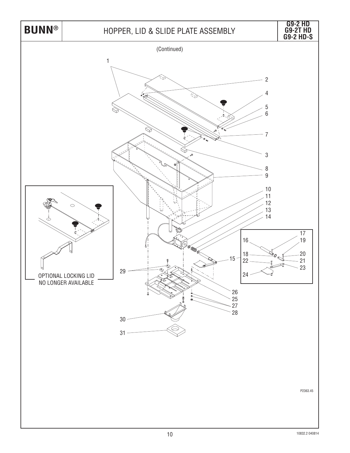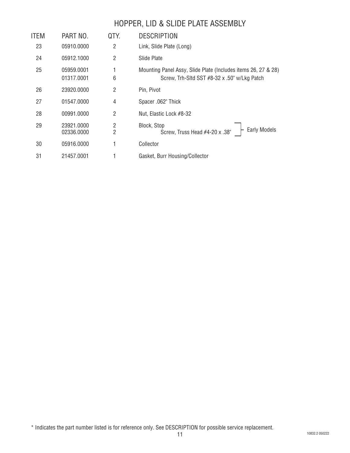#### HOPPER, LID & SLIDE PLATE ASSEMBLY

| ITEM | PART NO.                 | QTY.                             | <b>DESCRIPTION</b>                                                                                            |
|------|--------------------------|----------------------------------|---------------------------------------------------------------------------------------------------------------|
| 23   | 05910.0000               | 2                                | Link, Slide Plate (Long)                                                                                      |
| 24   | 05912.1000               | $\overline{2}$                   | Slide Plate                                                                                                   |
| 25   | 05959.0001<br>01317.0001 | 1<br>6                           | Mounting Panel Assy, Slide Plate (Includes items 26, 27 & 28)<br>Screw, Trh-Sitd SST #8-32 x .50" w/Lkg Patch |
| 26   | 23920.0000               | 2                                | Pin, Pivot                                                                                                    |
| 27   | 01547.0000               | 4                                | Spacer .062" Thick                                                                                            |
| 28   | 00991.0000               | 2                                | Nut, Elastic Lock #8-32                                                                                       |
| 29   | 23921.0000<br>02336.0000 | $\overline{2}$<br>$\overline{2}$ | Block, Stop<br>Early Models<br>Screw, Truss Head #4-20 x .38"                                                 |
| 30   | 05916.0000               |                                  | Collector                                                                                                     |
| 31   | 21457.0001               |                                  | Gasket, Burr Housing/Collector                                                                                |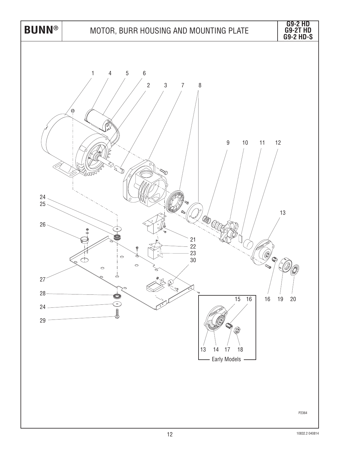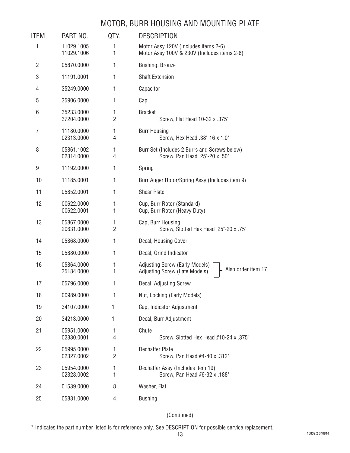#### MOTOR, BURR HOUSING AND MOUNTING PLATE

| ITEM           | PART NO.                 | QTY.                | <b>DESCRIPTION</b>                                                                           |
|----------------|--------------------------|---------------------|----------------------------------------------------------------------------------------------|
| 1              | 11029.1005<br>11029.1006 | 1<br>1              | Motor Assy 120V (Includes items 2-6)<br>Motor Assy 100V & 230V (Includes items 2-6)          |
| $\overline{2}$ | 05870.0000               | 1                   | Bushing, Bronze                                                                              |
| 3              | 11191.0001               | 1                   | <b>Shaft Extension</b>                                                                       |
| 4              | 35249.0000               | 1                   | Capacitor                                                                                    |
| 5              | 35906.0000               | 1                   | Cap                                                                                          |
| 6              | 35233.0000<br>37204.0000 | 1<br>$\overline{2}$ | <b>Bracket</b><br>Screw, Flat Head 10-32 x .375"                                             |
| 7              | 11180.0000<br>02313.0000 | 1<br>4              | <b>Burr Housing</b><br>Screw, Hex Head .38"-16 x 1.0"                                        |
| 8              | 05861.1002<br>02314.0000 | 1<br>4              | Burr Set (Includes 2 Burrs and Screws below)<br>Screw, Pan Head .25"-20 x .50"               |
| 9              | 11192.0000               | 1                   | Spring                                                                                       |
| 10             | 11185.0001               | 1                   | Burr Auger Rotor/Spring Assy (Includes item 9)                                               |
| 11             | 05852.0001               | 1                   | <b>Shear Plate</b>                                                                           |
| 12             | 00622.0000<br>00622.0001 | 1<br>1              | Cup, Burr Rotor (Standard)<br>Cup, Burr Rotor (Heavy Duty)                                   |
| 13             | 05867.0000<br>20631.0000 | 1<br>$\overline{2}$ | Cap, Burr Housing<br>Screw, Slotted Hex Head .25"-20 x .75"                                  |
| 14             | 05868.0000               | 1                   | Decal, Housing Cover                                                                         |
| 15             | 05880.0000               | 1                   | Decal, Grind Indicator                                                                       |
| 16             | 05864.0000<br>35184.0000 | 1<br>1              | <b>Adjusting Screw (Early Models)</b><br>Also order item 17<br>Adjusting Screw (Late Models) |
| 17             | 05796.0000               | 1                   | Decal, Adjusting Screw                                                                       |
| 18             | 00989.0000               | 1                   | Nut, Locking (Early Models)                                                                  |
| 19             | 34107.0000               | 1                   | Cap, Indicator Adjustment                                                                    |
| 20             | 34213.0000               | 1                   | Decal, Burr Adjustment                                                                       |
| 21             | 05951.0000<br>02330.0001 | 1<br>4              | Chute<br>Screw, Slotted Hex Head #10-24 x .375"                                              |
| 22             | 05995.0000<br>02327.0002 | 1<br>$\overline{2}$ | Dechaffer Plate<br>Screw, Pan Head #4-40 x .312"                                             |
| 23             | 05954.0000<br>02328.0002 | 1<br>1              | Dechaffer Assy (Includes item 19)<br>Screw, Pan Head #6-32 x .188"                           |
| 24             | 01539.0000               | 8                   | Washer, Flat                                                                                 |
| 25             | 05881.0000               | 4                   | <b>Bushing</b>                                                                               |

(Continued)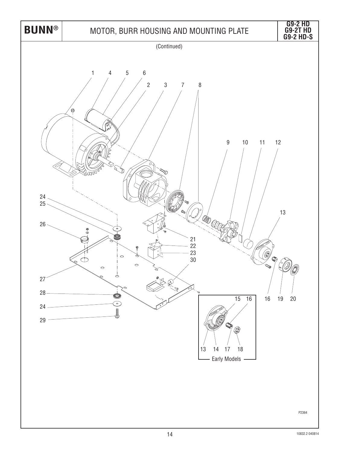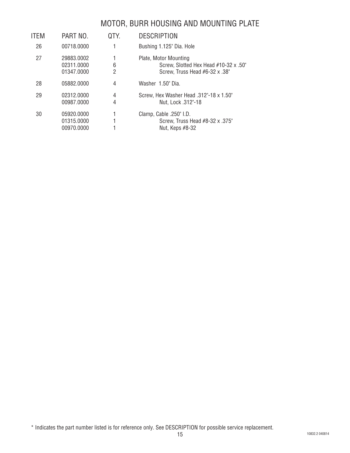#### MOTOR, BURR HOUSING AND MOUNTING PLATE

| ITEM | PART NO.                               | QTY.                | <b>DESCRIPTION</b>                                                                               |
|------|----------------------------------------|---------------------|--------------------------------------------------------------------------------------------------|
| 26   | 00718.0000                             |                     | Bushing 1.125" Dia. Hole                                                                         |
| 27   | 29883.0002<br>02311.0000<br>01347.0000 | 6<br>2              | Plate, Motor Mounting<br>Screw, Slotted Hex Head #10-32 x .50"<br>Screw, Truss Head #6-32 x .38" |
| 28   | 05882.0000                             | 4                   | Washer 1.50" Dia.                                                                                |
| 29   | 02312.0000<br>00987.0000               | $\overline{4}$<br>4 | Screw, Hex Washer Head .312"-18 x 1.50"<br>Nut, Lock .312"-18                                    |
| 30   | 05920.0000<br>01315.0000<br>00970.0000 |                     | Clamp, Cable .250" I.D.<br>Screw, Truss Head #8-32 x .375"<br>Nut, Keps #8-32                    |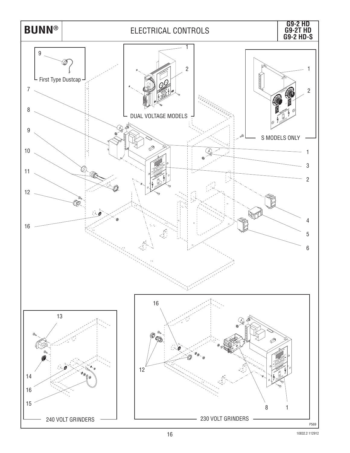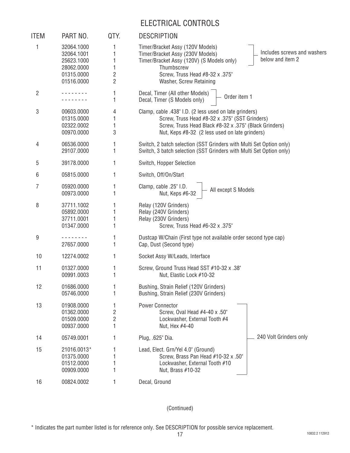#### ELECTRICAL CONTROLS

| <b>ITEM</b>    | PART NO.                                                                         | QTY.        | <b>DESCRIPTION</b>                                                                                                                                                                                                                               |
|----------------|----------------------------------------------------------------------------------|-------------|--------------------------------------------------------------------------------------------------------------------------------------------------------------------------------------------------------------------------------------------------|
| 1              | 32064.1000<br>32064.1001<br>25623.1000<br>28062.0000<br>01315.0000<br>01516.0000 | 2<br>2      | Timer/Bracket Assy (120V Models)<br>Includes screws and washers<br>Timer/Bracket Assy (230V Models)<br>below and item 2<br>Timer/Bracket Assy (120V) (S Models only)<br>Thumbscrew<br>Screw, Truss Head #8-32 x .375"<br>Washer, Screw Retaining |
| $\overline{2}$ |                                                                                  | 1           | Decal, Timer (All other Models)<br>Order item 1<br>Decal, Timer (S Models only)                                                                                                                                                                  |
| 3              | 00603.0000<br>01315.0000<br>02322.0002<br>00970.0000                             | 4<br>3      | Clamp, cable .438" I.D. (2 less used on late grinders)<br>Screw, Truss Head #8-32 x .375" (SST Grinders)<br>Screw, Truss Head Black #8-32 x .375" (Black Grinders)<br>Nut, Keps #8-32 (2 less used on late grinders)                             |
| 4              | 06536.0000<br>29107.0000                                                         | 1<br>1      | Switch, 2 batch selection (SST Grinders with Multi Set Option only)<br>Switch, 3 batch selection (SST Grinders with Multi Set Option only)                                                                                                       |
| 5              | 39178.0000                                                                       | 1           | Switch, Hopper Selection                                                                                                                                                                                                                         |
| 6              | 05815.0000                                                                       | 1           | Switch, Off/On/Start                                                                                                                                                                                                                             |
| 7              | 05920.0000<br>00973.0000                                                         |             | Clamp, cable .25" I.D.<br>All except S Models<br>Nut, Keps #6-32                                                                                                                                                                                 |
| 8              | 37711.1002<br>05892.0000<br>37711.0001<br>01347.0000                             |             | Relay (120V Grinders)<br>Relay (240V Grinders)<br>Relay (230V Grinders)<br>Screw, Truss Head #6-32 x .375"                                                                                                                                       |
| 9              | 27657.0000                                                                       | 1           | Dustcap W/Chain (First type not available order second type cap)<br>Cap, Dust (Second type)                                                                                                                                                      |
| 10             | 12274.0002                                                                       | 1           | Socket Assy W/Leads, Interface                                                                                                                                                                                                                   |
| 11             | 01327.0000<br>00991.0003                                                         |             | Screw, Ground Truss Head SST #10-32 x .38"<br>Nut, Elastic Lock #10-32                                                                                                                                                                           |
| 12             | 01686.0000<br>05746.0000                                                         |             | Bushing, Strain Relief (120V Grinders)<br>Bushing, Strain Relief (230V Grinders)                                                                                                                                                                 |
| 13             | 01908.0000<br>01362.0000<br>01509.0000<br>00937.0000                             | 1<br>2<br>2 | <b>Power Connector</b><br>Screw, Oval Head #4-40 x .50"<br>Lockwasher, External Tooth #4<br>Nut, Hex #4-40                                                                                                                                       |
| 14             | 05749.0001                                                                       |             | 240 Volt Grinders only<br>Plug, .625" Dia.                                                                                                                                                                                                       |
| 15             | 21016.0013*<br>01375.0000<br>01512.0000<br>00909.0000                            |             | Lead, Elect. Grn/Yel 4.0" (Ground)<br>Screw, Brass Pan Head #10-32 x .50"<br>Lockwasher, External Tooth #10<br>Nut, Brass #10-32                                                                                                                 |
| 16             | 00824.0002                                                                       | 1           | Decal, Ground                                                                                                                                                                                                                                    |

(Continued)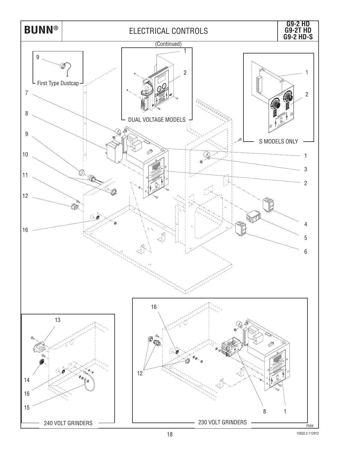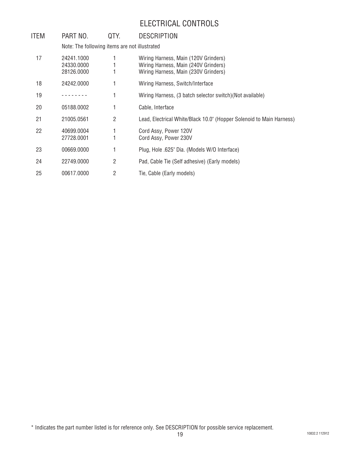#### ELECTRICAL CONTROLS

| ITEM | PART NO.                                      | QTY.           | <b>DESCRIPTION</b>                                                                                                   |
|------|-----------------------------------------------|----------------|----------------------------------------------------------------------------------------------------------------------|
|      | Note: The following items are not illustrated |                |                                                                                                                      |
| 17   | 24241.1000<br>24330.0000<br>28126.0000        |                | Wiring Harness, Main (120V Grinders)<br>Wiring Harness, Main (240V Grinders)<br>Wiring Harness, Main (230V Grinders) |
| 18   | 24242.0000                                    |                | Wiring Harness, Switch/Interface                                                                                     |
| 19   |                                               | 1              | Wiring Harness, (3 batch selector switch) (Not available)                                                            |
| 20   | 05188.0002                                    | 1              | Cable, Interface                                                                                                     |
| 21   | 21005.0561                                    | 2              | Lead, Electrical White/Black 10.0" (Hopper Solenoid to Main Harness)                                                 |
| 22   | 40699.0004<br>27728.0001                      |                | Cord Assy, Power 120V<br>Cord Assy, Power 230V                                                                       |
| 23   | 00669.0000                                    | 1              | Plug, Hole .625" Dia. (Models W/O Interface)                                                                         |
| 24   | 22749.0000                                    | $\overline{2}$ | Pad, Cable Tie (Self adhesive) (Early models)                                                                        |
| 25   | 00617.0000                                    | $\overline{2}$ | Tie, Cable (Early models)                                                                                            |

<sup>\*</sup> Indicates the part number listed is for reference only. See DESCRIPTION for possible service replacement.